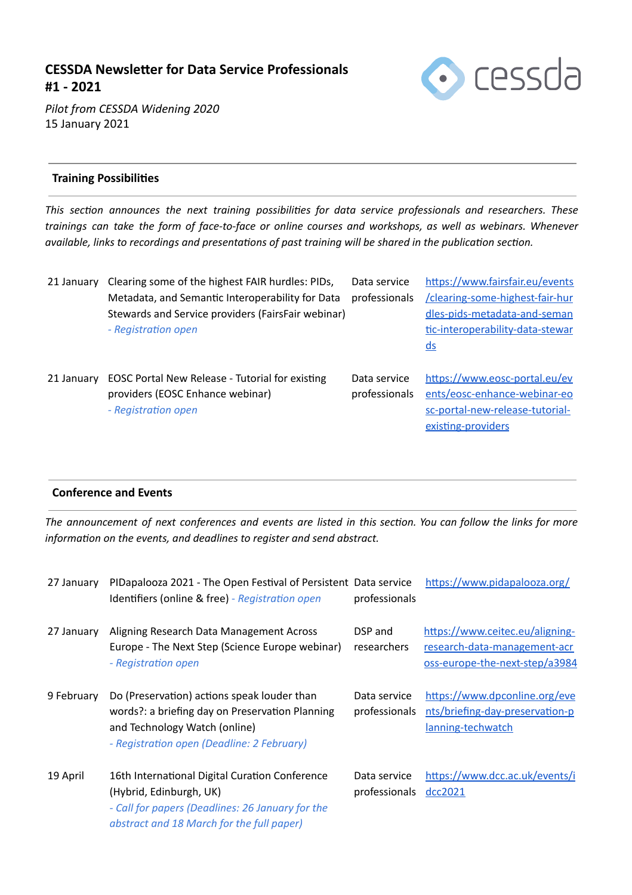# **CESSDA Newsleer for Data Service Professionals #1 - 2021**



*Pilot from CESSDA Widening 2020*  15 January 2021

# **Training Possibilies**

*This secon announces the next training possibilies for data service professionals and researchers. These trainings can take the form of face-to-face or online courses and workshops, as well as webinars. Whenever available, links to recordings and presentations of past training will be shared in the publication section.* 

| 21 January | Clearing some of the highest FAIR hurdles: PIDs,   | Data service  | https://www.fairsfair.eu/events  |
|------------|----------------------------------------------------|---------------|----------------------------------|
|            | Metadata, and Semantic Interoperability for Data   | professionals | /clearing-some-highest-fair-hur  |
|            | Stewards and Service providers (FairsFair webinar) |               | dles-pids-metadata-and-seman     |
|            | - Registration open                                |               | tic-interoperability-data-stewar |
|            |                                                    |               | $\underline{ds}$                 |
| 21 January | EOSC Portal New Release - Tutorial for existing    | Data service  | https://www.eosc-portal.eu/ev    |
|            | providers (EOSC Enhance webinar)                   | professionals | ents/eosc-enhance-webinar-eo     |
|            |                                                    |               |                                  |
|            | - Registration open                                |               | sc-portal-new-release-tutorial-  |
|            |                                                    |               | existing-providers               |

# **Conference and Events**

The announcement of next conferences and events are listed in this section. You can follow the links for more *information on the events, and deadlines to register and send abstract.* 

| 27 January | PIDapalooza 2021 - The Open Festival of Persistent Data service<br>Identifiers (online & free) - Registration open                                                            | professionals                 | https://www.pidapalooza.org/                                                                      |
|------------|-------------------------------------------------------------------------------------------------------------------------------------------------------------------------------|-------------------------------|---------------------------------------------------------------------------------------------------|
| 27 January | Aligning Research Data Management Across<br>Europe - The Next Step (Science Europe webinar)<br>- Registration open                                                            | DSP and<br>researchers        | https://www.ceitec.eu/aligning-<br>research-data-management-acr<br>oss-europe-the-next-step/a3984 |
| 9 February | Do (Preservation) actions speak louder than<br>words?: a briefing day on Preservation Planning<br>and Technology Watch (online)<br>- Registration open (Deadline: 2 February) | Data service<br>professionals | https://www.dpconline.org/eve<br>nts/briefing-day-preservation-p<br>lanning-techwatch             |
| 19 April   | 16th International Digital Curation Conference<br>(Hybrid, Edinburgh, UK)<br>- Call for papers (Deadlines: 26 January for the<br>abstract and 18 March for the full paper)    | Data service<br>professionals | https://www.dcc.ac.uk/events/i<br>dcc2021                                                         |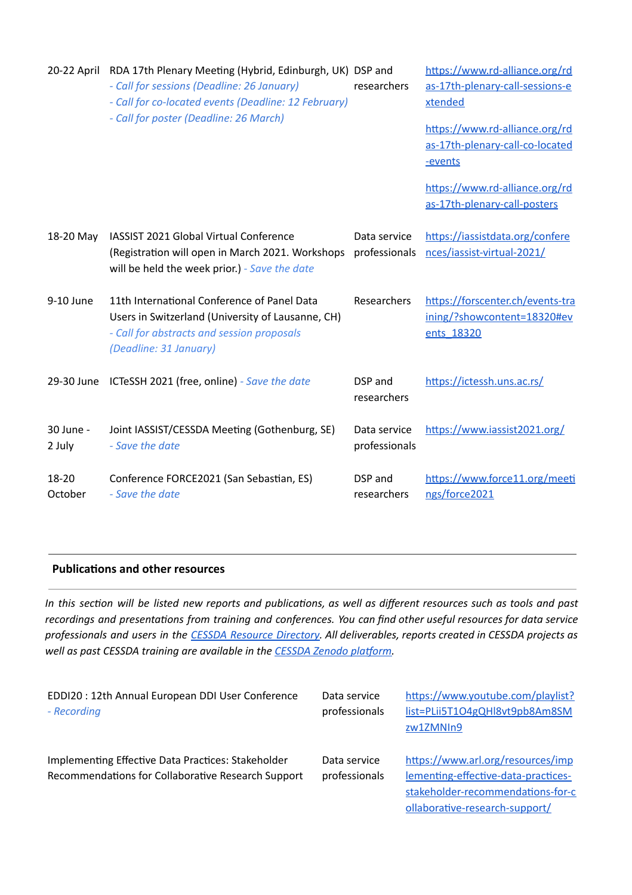| 20-22 April         | RDA 17th Plenary Meeting (Hybrid, Edinburgh, UK) DSP and<br>- Call for sessions (Deadline: 26 January)<br>- Call for co-located events (Deadline: 12 February)<br>- Call for poster (Deadline: 26 March) | researchers                   | https://www.rd-alliance.org/rd<br>as-17th-plenary-call-sessions-e<br>xtended<br>https://www.rd-alliance.org/rd<br>as-17th-plenary-call-co-located<br>-events<br>https://www.rd-alliance.org/rd<br>as-17th-plenary-call-posters |
|---------------------|----------------------------------------------------------------------------------------------------------------------------------------------------------------------------------------------------------|-------------------------------|--------------------------------------------------------------------------------------------------------------------------------------------------------------------------------------------------------------------------------|
| 18-20 May           | IASSIST 2021 Global Virtual Conference<br>(Registration will open in March 2021. Workshops<br>will be held the week prior.) - Save the date                                                              | Data service<br>professionals | https://iassistdata.org/confere<br>nces/iassist-virtual-2021/                                                                                                                                                                  |
| 9-10 June           | 11th International Conference of Panel Data<br>Users in Switzerland (University of Lausanne, CH)<br>- Call for abstracts and session proposals<br>(Deadline: 31 January)                                 | Researchers                   | https://forscenter.ch/events-tra<br>ining/?showcontent=18320#ev<br>ents 18320                                                                                                                                                  |
| 29-30 June          | ICTeSSH 2021 (free, online) - Save the date                                                                                                                                                              | DSP and<br>researchers        | https://ictessh.uns.ac.rs/                                                                                                                                                                                                     |
| 30 June -<br>2 July | Joint IASSIST/CESSDA Meeting (Gothenburg, SE)<br>- Save the date                                                                                                                                         | Data service<br>professionals | https://www.iassist2021.org/                                                                                                                                                                                                   |
| 18-20<br>October    | Conference FORCE2021 (San Sebastian, ES)<br>- Save the date                                                                                                                                              | DSP and<br>researchers        | https://www.force11.org/meeti<br>ngs/force2021                                                                                                                                                                                 |

## **Publications and other resources**

In this section will be listed new reports and publications, as well as different resources such as tools and past *recordings* and *presentations from training and conferences. You can find other useful resources for data service* professionals and users in the CESSDA Resource [Directory](https://www.zotero.org/groups/2382601/cessda_resource_directory/library). All deliverables, reports created in CESSDA projects as *well* as past CESSDA training are available in the **CESSDA** Zenodo platform.

| EDDI20 : 12th Annual European DDI User Conference<br>- Recording                                         | Data service<br>professionals | https://www.youtube.com/playlist?<br>list=PLii5T1O4gQHl8vt9pb8Am8SM<br>zw1ZMNIn9                                                                |
|----------------------------------------------------------------------------------------------------------|-------------------------------|-------------------------------------------------------------------------------------------------------------------------------------------------|
| Implementing Effective Data Practices: Stakeholder<br>Recommendations for Collaborative Research Support | Data service<br>professionals | https://www.arl.org/resources/imp<br>lementing-effective-data-practices-<br>stakeholder-recommendations-for-c<br>ollaborative-research-support/ |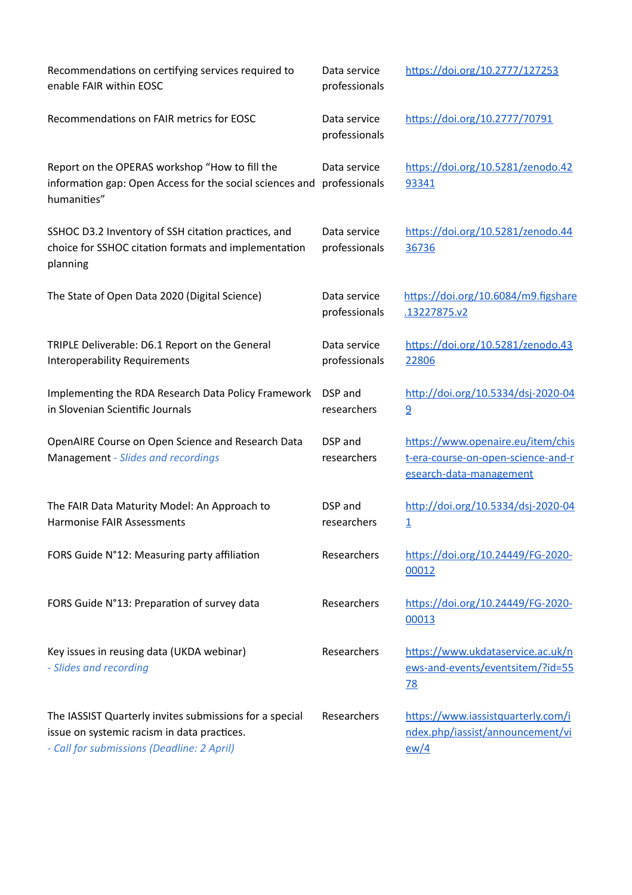| Recommendations on certifying services required to<br>enable FAIR within EOSC                                                                        | Data service<br>professionals | https://doi.org/10.2777/127253                                                                     |
|------------------------------------------------------------------------------------------------------------------------------------------------------|-------------------------------|----------------------------------------------------------------------------------------------------|
| Recommendations on FAIR metrics for EOSC                                                                                                             | Data service<br>professionals | https://doi.org/10.2777/70791                                                                      |
| Report on the OPERAS workshop "How to fill the<br>information gap: Open Access for the social sciences and<br>humanities"                            | Data service<br>professionals | https://doi.org/10.5281/zenodo.42<br>93341                                                         |
| SSHOC D3.2 Inventory of SSH citation practices, and<br>choice for SSHOC citation formats and implementation<br>planning                              | Data service<br>professionals | https://doi.org/10.5281/zenodo.44<br>36736                                                         |
| The State of Open Data 2020 (Digital Science)                                                                                                        | Data service<br>professionals | https://doi.org/10.6084/m9.figshare<br>.13227875.v2                                                |
| TRIPLE Deliverable: D6.1 Report on the General<br><b>Interoperability Requirements</b>                                                               | Data service<br>professionals | https://doi.org/10.5281/zenodo.43<br>22806                                                         |
| Implementing the RDA Research Data Policy Framework<br>in Slovenian Scientific Journals                                                              | DSP and<br>researchers        | http://doi.org/10.5334/dsj-2020-04<br>9                                                            |
| OpenAIRE Course on Open Science and Research Data<br>Management - Slides and recordings                                                              | DSP and<br>researchers        | https://www.openaire.eu/item/chis<br>t-era-course-on-open-science-and-r<br>esearch-data-management |
| The FAIR Data Maturity Model: An Approach to<br>Harmonise FAIR Assessments                                                                           | DSP and<br>researchers        | http://doi.org/10.5334/dsj-2020-04<br>$\overline{1}$                                               |
| FORS Guide N°12: Measuring party affiliation                                                                                                         | Researchers                   | https://doi.org/10.24449/FG-2020-<br>00012                                                         |
| FORS Guide N°13: Preparation of survey data                                                                                                          | Researchers                   | https://doi.org/10.24449/FG-2020-<br>00013                                                         |
| Key issues in reusing data (UKDA webinar)<br>- Slides and recording                                                                                  | Researchers                   | https://www.ukdataservice.ac.uk/n<br>ews-and-events/eventsitem/?id=55<br><u>78</u>                 |
| The IASSIST Quarterly invites submissions for a special<br>issue on systemic racism in data practices.<br>- Call for submissions (Deadline: 2 April) | Researchers                   | https://www.iassistquarterly.com/i<br>ndex.php/iassist/announcement/vi<br>ew/4                     |